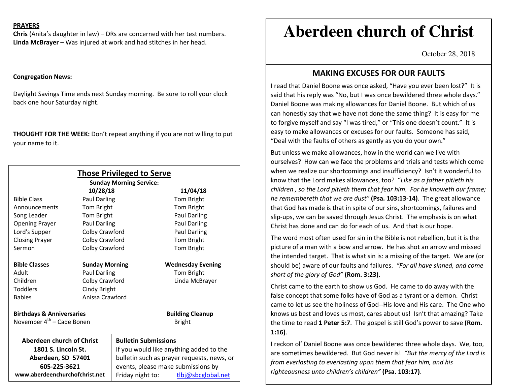### **PRAYERS**

**Chris** (Anita's daughter in law) – DRs are concerned with her test numbers. **Linda McBrayer** – Was injured at work and had stitches in her head.

### **Congregation News:**

Daylight Savings Time ends next Sunday morning. Be sure to roll your clock back one hour Saturday night.

**THOUGHT FOR THE WEEK:** Don't repeat anything if you are not willing to put your name to it.

| <b>Those Privileged to Serve</b><br><b>Sunday Morning Service:</b> |                       |                                            |                          |
|--------------------------------------------------------------------|-----------------------|--------------------------------------------|--------------------------|
| 10/28/18<br>11/04/18                                               |                       |                                            |                          |
| <b>Bible Class</b>                                                 | <b>Paul Darling</b>   |                                            | Tom Bright               |
| Announcements                                                      | Tom Bright            |                                            | Tom Bright               |
| Song Leader                                                        | Tom Bright            |                                            | <b>Paul Darling</b>      |
| <b>Opening Prayer</b>                                              | Paul Darling          |                                            | Paul Darling             |
| Lord's Supper                                                      | Colby Crawford        |                                            | Paul Darling             |
| <b>Closing Prayer</b>                                              | Colby Crawford        |                                            | Tom Bright               |
| Sermon                                                             | Colby Crawford        |                                            | Tom Bright               |
|                                                                    |                       |                                            |                          |
| <b>Bible Classes</b>                                               | <b>Sunday Morning</b> |                                            | <b>Wednesday Evening</b> |
| Adult                                                              | <b>Paul Darling</b>   |                                            | Tom Bright               |
| Children                                                           | Colby Crawford        |                                            | Linda McBrayer           |
| <b>Toddlers</b>                                                    | Cindy Bright          |                                            |                          |
| <b>Babies</b>                                                      | Anissa Crawford       |                                            |                          |
|                                                                    |                       |                                            |                          |
| <b>Birthdays &amp; Anniversaries</b>                               |                       |                                            | <b>Building Cleanup</b>  |
| November 4 <sup>th</sup> – Cade Bonen                              |                       |                                            | <b>Bright</b>            |
| Aberdeen church of Christ                                          |                       | <b>Bulletin Submissions</b>                |                          |
| 1801 S. Lincoln St.                                                |                       | If you would like anything added to the    |                          |
| Aberdeen, SD 57401                                                 |                       | bulletin such as prayer requests, news, or |                          |
| 605-225-3621                                                       |                       | events, please make submissions by         |                          |
| www.aberdeenchurchofchrist.net                                     |                       | Friday night to:                           | tlbj@sbcglobal.net       |

# **Aberdeen church of Christ**

October 28, 2018

# **MAKING EXCUSES FOR OUR FAULTS**

I read that Daniel Boone was once asked, "Have you ever been lost?" It is said that his reply was "No, but I was once bewildered three whole days." Daniel Boone was making allowances for Daniel Boone. But which of us can honestly say that we have not done the same thing? It is easy for me to forgive myself and say "I was tired," or "This one doesn't count." It is easy to make allowances or excuses for our faults. Someone has said, "Deal with the faults of others as gently as you do your own."

But unless we make allowances, how in the world can we live with ourselves? How can we face the problems and trials and tests which come when we realize our shortcomings and insufficiency? Isn't it wonderful to know that the Lord makes allowances, too? "*Like as a father pitieth his children , so the Lord pitieth them that fear him. For he knoweth our frame; he remembereth that we are dust"* **(Psa. 103:13-14)**. The great allowance that God has made is that in spite of our sins, shortcomings, failures and slip-ups, we can be saved through Jesus Christ. The emphasis is on what Christ has done and can do for each of us. And that is our hope.

The word most often used for sin in the Bible is not rebellion, but it is the picture of a man with a bow and arrow. He has shot an arrow and missed the intended target. That is what sin is: a missing of the target. We are (or should be) aware of our faults and failures. *"For all have sinned, and come short of the glory of God"* **(Rom. 3:23)**.

Christ came to the earth to show us God. He came to do away with the false concept that some folks have of God as a tyrant or a demon. Christ came to let us see the holiness of God--His love and His care. The One who knows us best and loves us most, cares about us! Isn't that amazing? Take the time to read **1 Peter 5:7**. The gospel is still God's power to save **(Rom. 1:16)**.

I reckon ol' Daniel Boone was once bewildered three whole days. We, too, are sometimes bewildered. But God never is! *"But the mercy of the Lord is from everlasting to everlasting upon them that fear him, and his righteousness unto children's children"* **(Psa. 103:17)**.